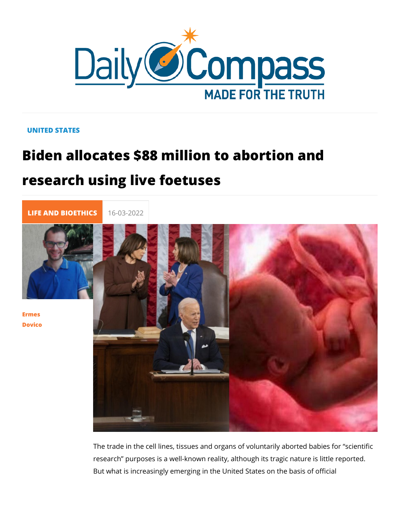## UNITED STATES

## Biden allocates \$88 million to abortion research using live foetuses

[LIFE AND BIOE](https://newdailycompass.com/en/life-and-bioethics) 16-03-2022

[Erme](/en/ermes-dovico)s [Dovic](/en/ermes-dovico)o

> The trade in the cell lines, tissues and organs of voluntarily a research purposes is a well-known reality, although its tragic But what is increasingly emerging in the United States on the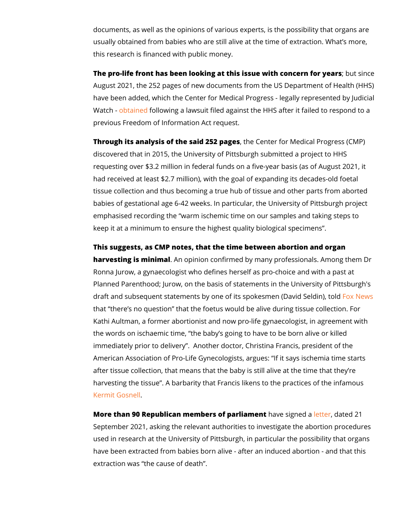documents, as well as the opinions of various experts, is the possible that organizations are possible that  $\frac{1}{2}$ usually obtained from babies who are still alive at the time of this research is financed with public money.

The pro-life front has been looking at this issue with the tostern August 2021, the 252 pages of new documents from the US Department of Health (Health Controller Mediation Health Controller Mediation Health (Health Controller Mediation Health (Health Controller Mediation Health (Health C have been added, which the Center for Medical Progress - legally Watch btain of dilowing a lawsuit filed against the HHS after it failed previous Freedom of Information Act request.

Through its analysis of the said the  $2C$  pages for Medical Progres discovered that in 2015, the University of Pittsburgh submitted requesting over \$3.2 million in federal funds on a five-year ba had received at least  $$2.7$  million), with the goal of expanding tissue collection and thus becoming a true hub of tissue and o babies of gestational age 6-42 weeks. In particular, the Unive emphasised recording the warm ischemic time on our samples keep it at a minimum to ensure the highest quality biological s

This suggests, as CMP notes, that the time between abortion and harvesting is miniAmabpinion confirmed by many professionals. Ronna Jurow, a gynaecologist who defines herself as pro-choid Planned Parenthood; Jurow, on the basis of statements in the draft and subsequent statements by one of its spokesmeNewDav that there s no question that the foetus would be alive during Kathi Aultman, a former abortionist and now pro-life gynaecolo the words on ischaemic time, the baby s going to have to be b immediately prior to delivery . Another doctor, Christina Fran American Association of Pro-Life Gynecologists, argues: If it after tissue collection, that means that the baby is still alive harvesting the tissue . A barbarity that Francis likens to the p [Kermit Go](https://www.nbcphiladelphia.com/local/gosnell-murder-deliberations-stretch-into-10th-day/2143888/)snell .

More than 90 Republican members of payeer is agme[ent](https://www.cruz.senate.gov/imo/media/doc/Letters/20210922_UniversityofPittsburghLetter.pdf) to reduced 21 September 2021, asking the relevant authorities to investigate used in research at the University of Pittsburgh, in particular have been extracted from babies born alive - after an induced extraction was the cause of death .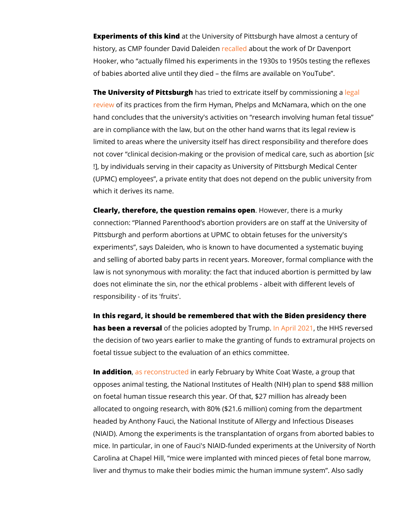Experiments of this atkind University of Pittsburgh have almost history, as CMP founder Daevidal Dean blent the work of Dr Davenport Hooker, who actually filmed his experiments in the 1930s to 1 of babies aborted alive until they died the films are available

The University of Pitths absurtgried to extricate itself by [leg](https://humancelltissueresearch.pitt.edu/sites/default/files/Regulatory Assessment of Human Fetal Tissue Research (00877347-2)[4].PDF)en Imission [revie](https://humancelltissueresearch.pitt.edu/sites/default/files/Regulatory Assessment of Human Fetal Tissue Research (00877347-2)[4].PDF)wf its practices from the firm Hyman, Phelps and McNama hand concludes that the university's activities on research in are in compliance with the law, but on the other hand warns th limited to areas where the university itself has direct responsi not cover clinical decision-making or the provision of msedical !], by individuals serving in their capacity as University of Pit (UPMC) employees, a private entity that does not depend on t which it derives its name.

Clearly, therefore, the question remHains  $\Theta$  . There is a murky connection: Planned Parenthood s abortion providers are on s Pittsburgh and perform abortions at UPMC to obtain fetuses fo experiments, says Daleiden, who is known to have documente and selling of aborted baby parts in recent years. Moreover, for law is not synonymous with morality: the fact that induced abo does not eliminate the sin, nor the ethical problems - albeit w responsibility - of its 'fruits'.

In this regard, it should be remembered that with the Biden pr has been a rev**ef**stahle policies adopte<mark>dnbAypTrlu @ Op Be</mark> HHS reverse the decision of two years earlier to make the granting of funds foetal tissue subject to the evaluation of an ethics committee.

In additions reconstructed rly February by White Coat Waste, a opposes animal testing, the National Institutes of Health (NIH) on foetal human tissue research this year. Of that, \$27 million allocated to ongoing research, with 80% (\$21.6 million) coming headed by Anthony Fauci, the National Institute of Allergy and (NIAID). Among the experiments is the transplantation of orga mice. In particular, in one of Fauci's NIAID-funded experiment Carolina at Chapel Hill, mice were implanted with minced pied liver and thymus to make their bodies mimic the human immune